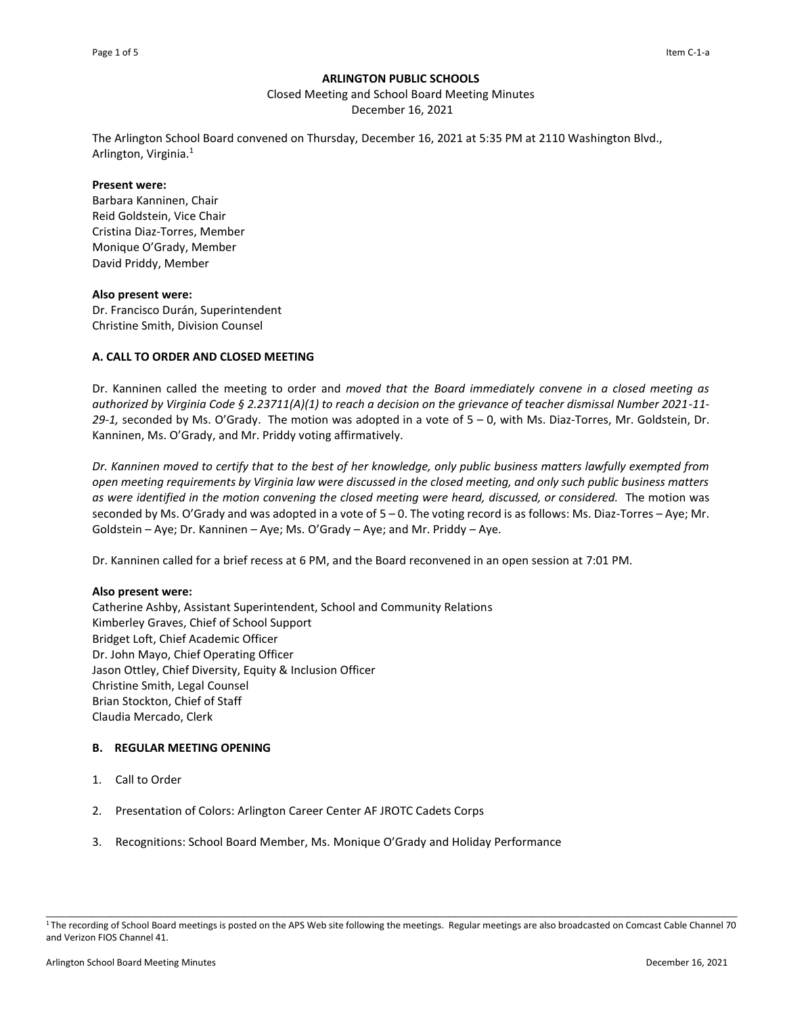### **ARLINGTON PUBLIC SCHOOLS**

Closed Meeting and School Board Meeting Minutes

December 16, 2021

The Arlington School Board convened on Thursday, December 16, 2021 at 5:35 PM at 2110 Washington Blvd., Arlington, Virginia.<sup>1</sup>

#### **Present were:**

Barbara Kanninen, Chair Reid Goldstein, Vice Chair Cristina Diaz-Torres, Member Monique O'Grady, Member David Priddy, Member

### **Also present were:**

Dr. Francisco Durán, Superintendent Christine Smith, Division Counsel

# **A. CALL TO ORDER AND CLOSED MEETING**

Dr. Kanninen called the meeting to order and *moved that the Board immediately convene in a closed meeting as authorized by Virginia Code § 2.23711(A)(1) to reach a decision on the grievance of teacher dismissal Number 2021-11- 29-1,* seconded by Ms. O'Grady. The motion was adopted in a vote of 5 – 0, with Ms. Diaz-Torres, Mr. Goldstein, Dr. Kanninen, Ms. O'Grady, and Mr. Priddy voting affirmatively.

*Dr. Kanninen moved to certify that to the best of her knowledge, only public business matters lawfully exempted from open meeting requirements by Virginia law were discussed in the closed meeting, and only such public business matters as were identified in the motion convening the closed meeting were heard, discussed, or considered.* The motion was seconded by Ms. O'Grady and was adopted in a vote of 5 – 0. The voting record is as follows: Ms. Diaz-Torres – Aye; Mr. Goldstein – Aye; Dr. Kanninen – Aye; Ms. O'Grady – Aye; and Mr. Priddy – Aye.

Dr. Kanninen called for a brief recess at 6 PM, and the Board reconvened in an open session at 7:01 PM.

### **Also present were:**

Catherine Ashby, Assistant Superintendent, School and Community Relations Kimberley Graves, Chief of School Support Bridget Loft, Chief Academic Officer Dr. John Mayo, Chief Operating Officer Jason Ottley, Chief Diversity, Equity & Inclusion Officer Christine Smith, Legal Counsel Brian Stockton, Chief of Staff Claudia Mercado, Clerk

# **B. REGULAR MEETING OPENING**

- 1. Call to Order
- 2. Presentation of Colors: Arlington Career Center AF JROTC Cadets Corps
- 3. Recognitions: School Board Member, Ms. Monique O'Grady and Holiday Performance

\_\_\_\_\_\_\_\_\_\_\_\_\_\_\_\_\_\_\_\_\_\_\_\_\_\_\_\_\_\_\_\_\_\_\_\_\_\_\_\_\_\_\_\_\_\_\_\_\_\_\_\_\_\_\_\_\_\_\_\_\_\_\_\_\_\_\_\_\_\_\_\_\_\_\_\_\_\_\_\_\_\_\_\_\_\_\_\_\_\_\_\_\_\_\_\_\_\_\_\_\_\_\_\_\_\_\_\_ <sup>1</sup>The recording of School Board meetings is posted on the APS Web site following the meetings. Regular meetings are also broadcasted on Comcast Cable Channel 70 and Verizon FIOS Channel 41.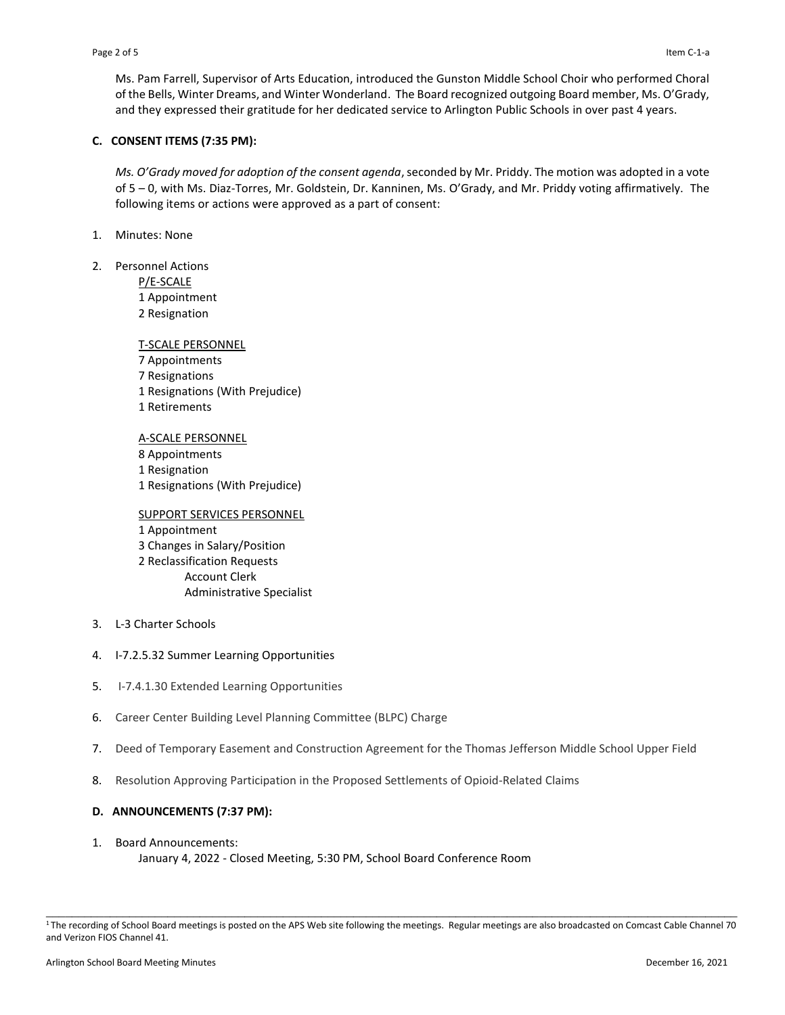Ms. Pam Farrell, Supervisor of Arts Education, introduced the Gunston Middle School Choir who performed Choral of the Bells, Winter Dreams, and Winter Wonderland. The Board recognized outgoing Board member, Ms. O'Grady, and they expressed their gratitude for her dedicated service to Arlington Public Schools in over past 4 years.

## **C. CONSENT ITEMS (7:35 PM):**

*Ms. O'Grady moved for adoption of the consent agenda*, seconded by Mr. Priddy. The motion was adopted in a vote of 5 – 0, with Ms. Diaz-Torres, Mr. Goldstein, Dr. Kanninen, Ms. O'Grady, and Mr. Priddy voting affirmatively. The following items or actions were approved as a part of consent:

- 1. Minutes: None
- 2. Personnel Actions

P/E-SCALE 1 Appointment 2 Resignation

T-SCALE PERSONNEL Appointments Resignations Resignations (With Prejudice) Retirements

A-SCALE PERSONNEL Appointments Resignation Resignations (With Prejudice)

SUPPORT SERVICES PERSONNEL 1 Appointment 3 Changes in Salary/Position 2 Reclassification Requests Account Clerk Administrative Specialist

- 3. L-3 Charter Schools
- 4. I-7.2.5.32 Summer Learning Opportunities
- 5. I-7.4.1.30 Extended Learning Opportunities
- 6. Career Center Building Level Planning Committee (BLPC) Charge
- 7. Deed of Temporary Easement and Construction Agreement for the Thomas Jefferson Middle School Upper Field
- 8. Resolution Approving Participation in the Proposed Settlements of Opioid-Related Claims

# **D. ANNOUNCEMENTS (7:37 PM):**

1. Board Announcements: January 4, 2022 - Closed Meeting, 5:30 PM, School Board Conference Room

\_\_\_\_\_\_\_\_\_\_\_\_\_\_\_\_\_\_\_\_\_\_\_\_\_\_\_\_\_\_\_\_\_\_\_\_\_\_\_\_\_\_\_\_\_\_\_\_\_\_\_\_\_\_\_\_\_\_\_\_\_\_\_\_\_\_\_\_\_\_\_\_\_\_\_\_\_\_\_\_\_\_\_\_\_\_\_\_\_\_\_\_\_\_\_\_\_\_\_\_\_\_\_\_\_\_\_\_ <sup>1</sup>The recording of School Board meetings is posted on the APS Web site following the meetings. Regular meetings are also broadcasted on Comcast Cable Channel 70 and Verizon FIOS Channel 41.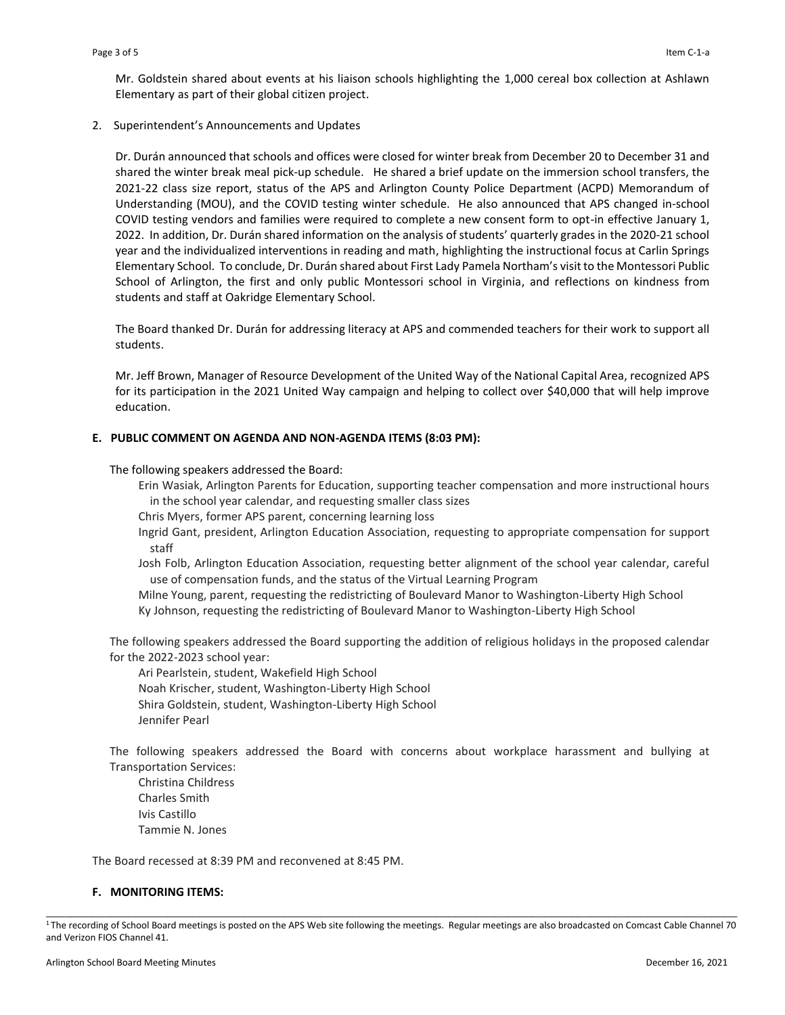Mr. Goldstein shared about events at his liaison schools highlighting the 1,000 cereal box collection at Ashlawn Elementary as part of their global citizen project.

2. Superintendent's Announcements and Updates

Dr. Durán announced that schools and offices were closed for winter break from December 20 to December 31 and shared the winter break meal pick-up schedule. He shared a brief update on the immersion school transfers, the 2021-22 class size report, status of the APS and Arlington County Police Department (ACPD) Memorandum of Understanding (MOU), and the COVID testing winter schedule. He also announced that APS changed in-school COVID testing vendors and families were required to complete a new consent form to opt-in effective January 1, 2022. In addition, Dr. Durán shared information on the analysis of students' quarterly grades in the 2020-21 school year and the individualized interventions in reading and math, highlighting the instructional focus at Carlin Springs Elementary School. To conclude, Dr. Durán shared about First Lady Pamela Northam's visit to the Montessori Public School of Arlington, the first and only public Montessori school in Virginia, and reflections on kindness from students and staff at Oakridge Elementary School.

The Board thanked Dr. Durán for addressing literacy at APS and commended teachers for their work to support all students.

Mr. Jeff Brown, Manager of Resource Development of the United Way of the National Capital Area, recognized APS for its participation in the 2021 United Way campaign and helping to collect over \$40,000 that will help improve education.

### **E. PUBLIC COMMENT ON AGENDA AND NON-AGENDA ITEMS (8:03 PM):**

The following speakers addressed the Board:

- Erin Wasiak, Arlington Parents for Education, supporting teacher compensation and more instructional hours in the school year calendar, and requesting smaller class sizes
- Chris Myers, former APS parent, concerning learning loss
- Ingrid Gant, president, Arlington Education Association, requesting to appropriate compensation for support staff
- Josh Folb, Arlington Education Association, requesting better alignment of the school year calendar, careful use of compensation funds, and the status of the Virtual Learning Program

Milne Young, parent, requesting the redistricting of Boulevard Manor to Washington-Liberty High School Ky Johnson, requesting the redistricting of Boulevard Manor to Washington-Liberty High School

The following speakers addressed the Board supporting the addition of religious holidays in the proposed calendar for the 2022-2023 school year:

Ari Pearlstein, student, Wakefield High School Noah Krischer, student, Washington-Liberty High School Shira Goldstein, student, Washington-Liberty High School Jennifer Pearl

The following speakers addressed the Board with concerns about workplace harassment and bullying at Transportation Services:

Christina Childress Charles Smith Ivis Castillo Tammie N. Jones

The Board recessed at 8:39 PM and reconvened at 8:45 PM.

### **F. MONITORING ITEMS:**

\_\_\_\_\_\_\_\_\_\_\_\_\_\_\_\_\_\_\_\_\_\_\_\_\_\_\_\_\_\_\_\_\_\_\_\_\_\_\_\_\_\_\_\_\_\_\_\_\_\_\_\_\_\_\_\_\_\_\_\_\_\_\_\_\_\_\_\_\_\_\_\_\_\_\_\_\_\_\_\_\_\_\_\_\_\_\_\_\_\_\_\_\_\_\_\_\_\_\_\_\_\_\_\_\_\_\_\_ <sup>1</sup>The recording of School Board meetings is posted on the APS Web site following the meetings. Regular meetings are also broadcasted on Comcast Cable Channel 70 and Verizon FIOS Channel 41.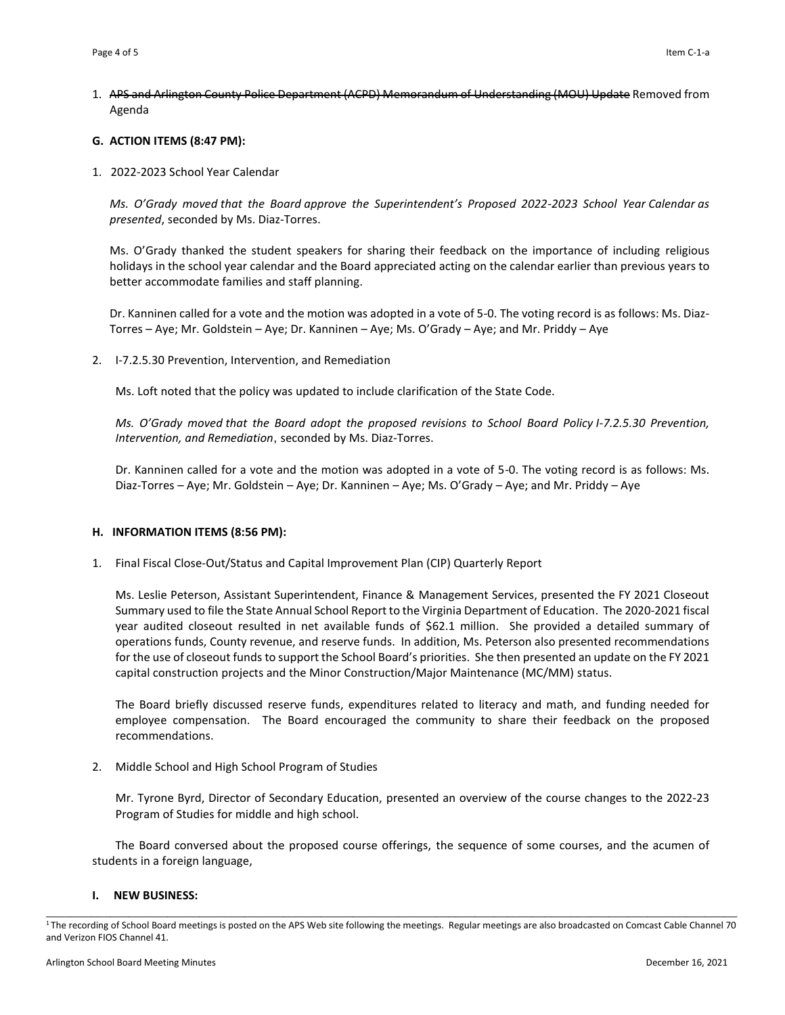1. APS and Arlington County Police Department (ACPD) Memorandum of Understanding (MOU) Update Removed from Agenda

## **G. ACTION ITEMS (8:47 PM):**

1. 2022-2023 School Year Calendar

*Ms. O'Grady moved that the Board approve the Superintendent's Proposed 2022-2023 School Year Calendar as presented*, seconded by Ms. Diaz-Torres.

Ms. O'Grady thanked the student speakers for sharing their feedback on the importance of including religious holidays in the school year calendar and the Board appreciated acting on the calendar earlier than previous years to better accommodate families and staff planning.

Dr. Kanninen called for a vote and the motion was adopted in a vote of 5-0. The voting record is as follows: Ms. Diaz-Torres – Aye; Mr. Goldstein – Aye; Dr. Kanninen – Aye; Ms. O'Grady – Aye; and Mr. Priddy – Aye

2. I-7.2.5.30 Prevention, Intervention, and Remediation

Ms. Loft noted that the policy was updated to include clarification of the State Code.

*Ms. O'Grady moved that the Board adopt the proposed revisions to School Board Policy I-7.2.5.30 Prevention, Intervention, and Remediation*, seconded by Ms. Diaz-Torres.

Dr. Kanninen called for a vote and the motion was adopted in a vote of 5-0. The voting record is as follows: Ms. Diaz-Torres – Aye; Mr. Goldstein – Aye; Dr. Kanninen – Aye; Ms. O'Grady – Aye; and Mr. Priddy – Aye

### **H. INFORMATION ITEMS (8:56 PM):**

1. Final Fiscal Close-Out/Status and Capital Improvement Plan (CIP) Quarterly Report

Ms. Leslie Peterson, Assistant Superintendent, Finance & Management Services, presented the FY 2021 Closeout Summary used to file the State Annual School Report to the Virginia Department of Education. The 2020-2021 fiscal year audited closeout resulted in net available funds of \$62.1 million. She provided a detailed summary of operations funds, County revenue, and reserve funds. In addition, Ms. Peterson also presented recommendations for the use of closeout funds to support the School Board's priorities. She then presented an update on the FY 2021 capital construction projects and the Minor Construction/Major Maintenance (MC/MM) status.

The Board briefly discussed reserve funds, expenditures related to literacy and math, and funding needed for employee compensation. The Board encouraged the community to share their feedback on the proposed recommendations.

2. Middle School and High School Program of Studies

Mr. Tyrone Byrd, Director of Secondary Education, presented an overview of the course changes to the 2022-23 Program of Studies for middle and high school.

The Board conversed about the proposed course offerings, the sequence of some courses, and the acumen of students in a foreign language,

### **I. NEW BUSINESS:**

\_\_\_\_\_\_\_\_\_\_\_\_\_\_\_\_\_\_\_\_\_\_\_\_\_\_\_\_\_\_\_\_\_\_\_\_\_\_\_\_\_\_\_\_\_\_\_\_\_\_\_\_\_\_\_\_\_\_\_\_\_\_\_\_\_\_\_\_\_\_\_\_\_\_\_\_\_\_\_\_\_\_\_\_\_\_\_\_\_\_\_\_\_\_\_\_\_\_\_\_\_\_\_\_\_\_\_\_ <sup>1</sup>The recording of School Board meetings is posted on the APS Web site following the meetings. Regular meetings are also broadcasted on Comcast Cable Channel 70 and Verizon FIOS Channel 41.